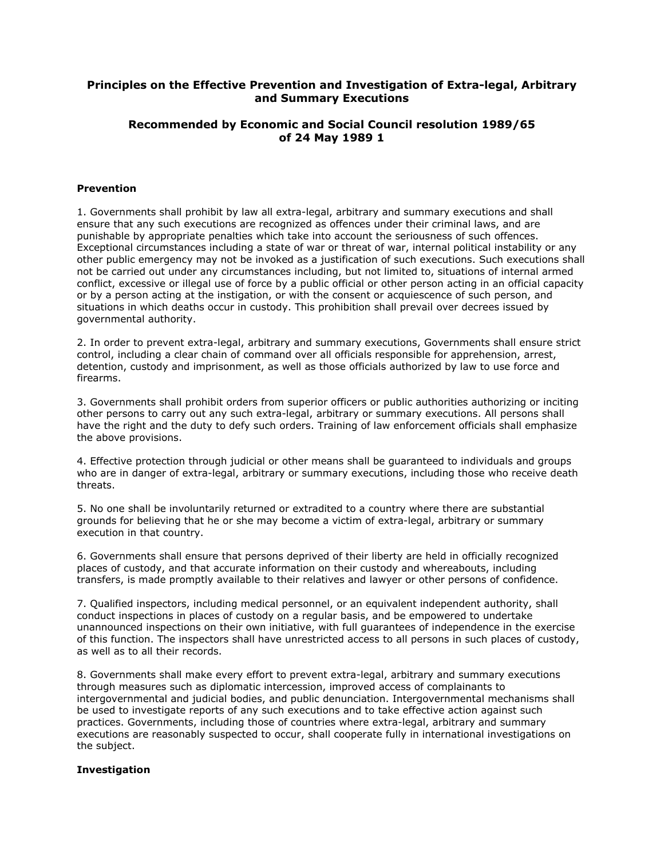# **Principles on the Effective Prevention and Investigation of Extra-legal, Arbitrary and Summary Executions**

## **Recommended by Economic and Social Council resolution 1989/65 of 24 May 1989 1**

### **Prevention**

1. Governments shall prohibit by law all extra-legal, arbitrary and summary executions and shall ensure that any such executions are recognized as offences under their criminal laws, and are punishable by appropriate penalties which take into account the seriousness of such offences. Exceptional circumstances including a state of war or threat of war, internal political instability or any other public emergency may not be invoked as a justification of such executions. Such executions shall not be carried out under any circumstances including, but not limited to, situations of internal armed conflict, excessive or illegal use of force by a public official or other person acting in an official capacity or by a person acting at the instigation, or with the consent or acquiescence of such person, and situations in which deaths occur in custody. This prohibition shall prevail over decrees issued by governmental authority.

2. In order to prevent extra-legal, arbitrary and summary executions, Governments shall ensure strict control, including a clear chain of command over all officials responsible for apprehension, arrest, detention, custody and imprisonment, as well as those officials authorized by law to use force and firearms.

3. Governments shall prohibit orders from superior officers or public authorities authorizing or inciting other persons to carry out any such extra-legal, arbitrary or summary executions. All persons shall have the right and the duty to defy such orders. Training of law enforcement officials shall emphasize the above provisions.

4. Effective protection through judicial or other means shall be guaranteed to individuals and groups who are in danger of extra-legal, arbitrary or summary executions, including those who receive death threats.

5. No one shall be involuntarily returned or extradited to a country where there are substantial grounds for believing that he or she may become a victim of extra-legal, arbitrary or summary execution in that country.

6. Governments shall ensure that persons deprived of their liberty are held in officially recognized places of custody, and that accurate information on their custody and whereabouts, including transfers, is made promptly available to their relatives and lawyer or other persons of confidence.

7. Qualified inspectors, including medical personnel, or an equivalent independent authority, shall conduct inspections in places of custody on a regular basis, and be empowered to undertake unannounced inspections on their own initiative, with full guarantees of independence in the exercise of this function. The inspectors shall have unrestricted access to all persons in such places of custody, as well as to all their records.

8. Governments shall make every effort to prevent extra-legal, arbitrary and summary executions through measures such as diplomatic intercession, improved access of complainants to intergovernmental and judicial bodies, and public denunciation. Intergovernmental mechanisms shall be used to investigate reports of any such executions and to take effective action against such practices. Governments, including those of countries where extra-legal, arbitrary and summary executions are reasonably suspected to occur, shall cooperate fully in international investigations on the subject.

#### **Investigation**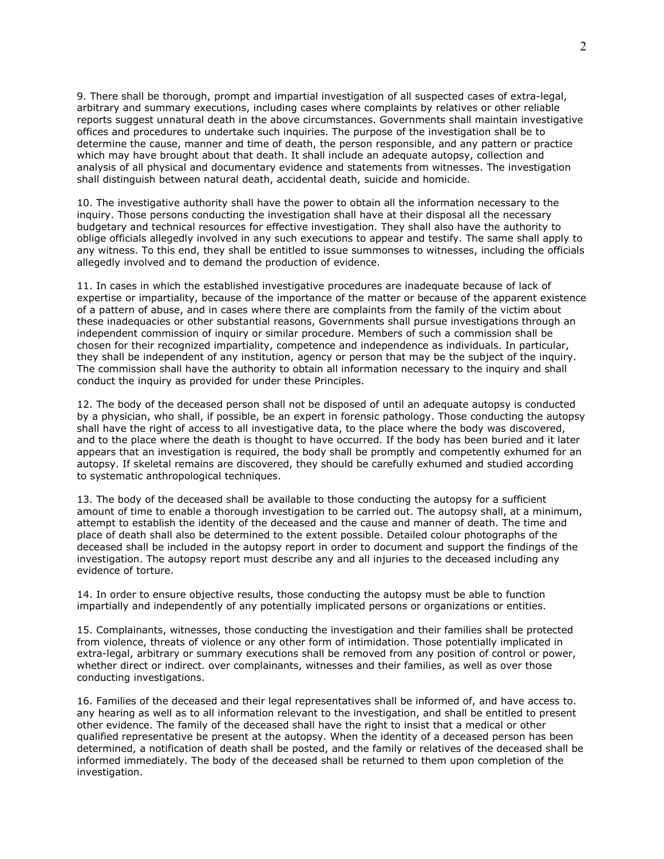9. There shall be thorough, prompt and impartial investigation of all suspected cases of extra-legal, arbitrary and summary executions, including cases where complaints by relatives or other reliable reports suggest unnatural death in the above circumstances. Governments shall maintain investigative offices and procedures to undertake such inquiries. The purpose of the investigation shall be to determine the cause, manner and time of death, the person responsible, and any pattern or practice which may have brought about that death. It shall include an adequate autopsy, collection and analysis of all physical and documentary evidence and statements from witnesses. The investigation shall distinguish between natural death, accidental death, suicide and homicide.

10. The investigative authority shall have the power to obtain all the information necessary to the inquiry. Those persons conducting the investigation shall have at their disposal all the necessary budgetary and technical resources for effective investigation. They shall also have the authority to oblige officials allegedly involved in any such executions to appear and testify. The same shall apply to any witness. To this end, they shall be entitled to issue summonses to witnesses, including the officials allegedly involved and to demand the production of evidence.

11. In cases in which the established investigative procedures are inadequate because of lack of expertise or impartiality, because of the importance of the matter or because of the apparent existence of a pattern of abuse, and in cases where there are complaints from the family of the victim about these inadequacies or other substantial reasons, Governments shall pursue investigations through an independent commission of inquiry or similar procedure. Members of such a commission shall be chosen for their recognized impartiality, competence and independence as individuals. In particular, they shall be independent of any institution, agency or person that may be the subject of the inquiry. The commission shall have the authority to obtain all information necessary to the inquiry and shall conduct the inquiry as provided for under these Principles.

12. The body of the deceased person shall not be disposed of until an adequate autopsy is conducted by a physician, who shall, if possible, be an expert in forensic pathology. Those conducting the autopsy shall have the right of access to all investigative data, to the place where the body was discovered, and to the place where the death is thought to have occurred. If the body has been buried and it later appears that an investigation is required, the body shall be promptly and competently exhumed for an autopsy. If skeletal remains are discovered, they should be carefully exhumed and studied according to systematic anthropological techniques.

13. The body of the deceased shall be available to those conducting the autopsy for a sufficient amount of time to enable a thorough investigation to be carried out. The autopsy shall, at a minimum, attempt to establish the identity of the deceased and the cause and manner of death. The time and place of death shall also be determined to the extent possible. Detailed colour photographs of the deceased shall be included in the autopsy report in order to document and support the findings of the investigation. The autopsy report must describe any and all injuries to the deceased including any evidence of torture.

14. In order to ensure objective results, those conducting the autopsy must be able to function impartially and independently of any potentially implicated persons or organizations or entities.

15. Complainants, witnesses, those conducting the investigation and their families shall be protected from violence, threats of violence or any other form of intimidation. Those potentially implicated in extra-legal, arbitrary or summary executions shall be removed from any position of control or power, whether direct or indirect. over complainants, witnesses and their families, as well as over those conducting investigations.

16. Families of the deceased and their legal representatives shall be informed of, and have access to. any hearing as well as to all information relevant to the investigation, and shall be entitled to present other evidence. The family of the deceased shall have the right to insist that a medical or other qualified representative be present at the autopsy. When the identity of a deceased person has been determined, a notification of death shall be posted, and the family or relatives of the deceased shall be informed immediately. The body of the deceased shall be returned to them upon completion of the investigation.